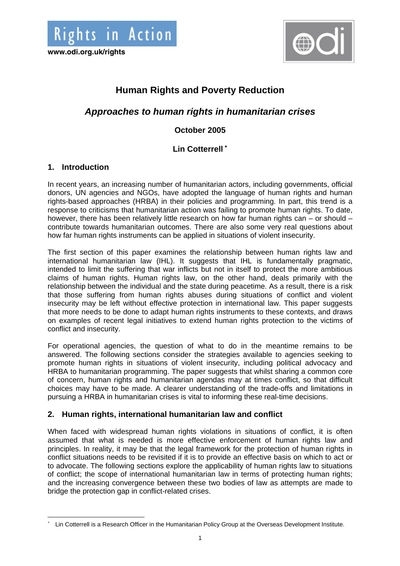



# **Human Rights and Poverty Reduction**

# *Approaches to human rights in humanitarian crises*

## **October 2005**

## **Lin Cotterrell** <sup>∗</sup>

## **1. Introduction**

 $\overline{\phantom{a}}$ 

In recent years, an increasing number of humanitarian actors, including governments, official donors, UN agencies and NGOs, have adopted the language of human rights and human rights-based approaches (HRBA) in their policies and programming. In part, this trend is a response to criticisms that humanitarian action was failing to promote human rights. To date, however, there has been relatively little research on how far human rights can – or should – contribute towards humanitarian outcomes. There are also some very real questions about how far human rights instruments can be applied in situations of violent insecurity.

The first section of this paper examines the relationship between human rights law and international humanitarian law (IHL). It suggests that IHL is fundamentally pragmatic, intended to limit the suffering that war inflicts but not in itself to protect the more ambitious claims of human rights. Human rights law, on the other hand, deals primarily with the relationship between the individual and the state during peacetime. As a result, there is a risk that those suffering from human rights abuses during situations of conflict and violent insecurity may be left without effective protection in international law. This paper suggests that more needs to be done to adapt human rights instruments to these contexts, and draws on examples of recent legal initiatives to extend human rights protection to the victims of conflict and insecurity.

For operational agencies, the question of what to do in the meantime remains to be answered. The following sections consider the strategies available to agencies seeking to promote human rights in situations of violent insecurity, including political advocacy and HRBA to humanitarian programming. The paper suggests that whilst sharing a common core of concern, human rights and humanitarian agendas may at times conflict, so that difficult choices may have to be made. A clearer understanding of the trade-offs and limitations in pursuing a HRBA in humanitarian crises is vital to informing these real-time decisions.

## **2. Human rights, international humanitarian law and conflict**

When faced with widespread human rights violations in situations of conflict, it is often assumed that what is needed is more effective enforcement of human rights law and principles. In reality, it may be that the legal framework for the protection of human rights in conflict situations needs to be revisited if it is to provide an effective basis on which to act or to advocate. The following sections explore the applicability of human rights law to situations of conflict; the scope of international humanitarian law in terms of protecting human rights; and the increasing convergence between these two bodies of law as attempts are made to bridge the protection gap in conflict-related crises.

<sup>∗</sup> Lin Cotterrell is a Research Officer in the Humanitarian Policy Group at the Overseas Development Institute.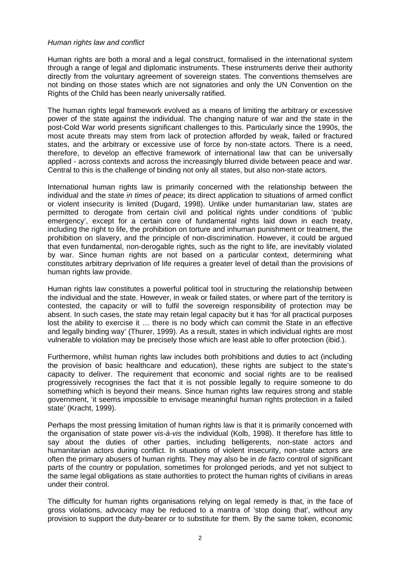#### *Human rights law and conflict*

Human rights are both a moral and a legal construct, formalised in the international system through a range of legal and diplomatic instruments. These instruments derive their authority directly from the voluntary agreement of sovereign states. The conventions themselves are not binding on those states which are not signatories and only the UN Convention on the Rights of the Child has been nearly universally ratified.

The human rights legal framework evolved as a means of limiting the arbitrary or excessive power of the state against the individual. The changing nature of war and the state in the post-Cold War world presents significant challenges to this. Particularly since the 1990s, the most acute threats may stem from lack of protection afforded by weak, failed or fractured states, and the arbitrary or excessive use of force by non-state actors. There is a need, therefore, to develop an effective framework of international law that can be universally applied - across contexts and across the increasingly blurred divide between peace and war. Central to this is the challenge of binding not only all states, but also non-state actors.

International human rights law is primarily concerned with the relationship between the individual and the state *in times of peace*; its direct application to situations of armed conflict or violent insecurity is limited (Dugard, 1998). Unlike under humanitarian law, states are permitted to derogate from certain civil and political rights under conditions of 'public emergency', except for a certain core of fundamental rights laid down in each treaty, including the right to life, the prohibition on torture and inhuman punishment or treatment, the prohibition on slavery, and the principle of non-discrimination. However, it could be argued that even fundamental, non-derogable rights, such as the right to life, are inevitably violated by war. Since human rights are not based on a particular context, determining what constitutes arbitrary deprivation of life requires a greater level of detail than the provisions of human rights law provide.

Human rights law constitutes a powerful political tool in structuring the relationship between the individual and the state. However, in weak or failed states, or where part of the territory is contested, the capacity or will to fulfil the sovereign responsibility of protection may be absent. In such cases, the state may retain legal capacity but it has 'for all practical purposes lost the ability to exercise it … there is no body which can commit the State in an effective and legally binding way' (Thurer, 1999). As a result, states in which individual rights are most vulnerable to violation may be precisely those which are least able to offer protection (ibid.).

Furthermore, whilst human rights law includes both prohibitions and duties to act (including the provision of basic healthcare and education), these rights are subject to the state's capacity to deliver. The requirement that economic and social rights are to be realised progressively recognises the fact that it is not possible legally to require someone to do something which is beyond their means. Since human rights law requires strong and stable government, 'it seems impossible to envisage meaningful human rights protection in a failed state' (Kracht, 1999).

Perhaps the most pressing limitation of human rights law is that it is primarily concerned with the organisation of state power *vis-à-vis* the individual (Kolb, 1998). It therefore has little to say about the duties of other parties, including belligerents, non-state actors and humanitarian actors during conflict. In situations of violent insecurity, non-state actors are often the primary abusers of human rights. They may also be in *de facto* control of significant parts of the country or population, sometimes for prolonged periods, and yet not subject to the same legal obligations as state authorities to protect the human rights of civilians in areas under their control.

The difficulty for human rights organisations relying on legal remedy is that, in the face of gross violations, advocacy may be reduced to a mantra of 'stop doing that', without any provision to support the duty-bearer or to substitute for them. By the same token, economic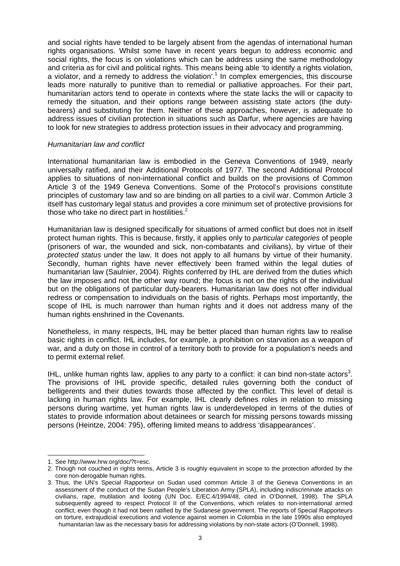and social rights have tended to be largely absent from the agendas of international human rights organisations. Whilst some have in recent years begun to address economic and social rights, the focus is on violations which can be address using the same methodology and criteria as for civil and political rights. This means being able 'to identify a rights violation, a violator, and a remedy to address the violation'.<sup>1</sup> In complex emergencies, this discourse leads more naturally to punitive than to remedial or palliative approaches. For their part, humanitarian actors tend to operate in contexts where the state lacks the will or capacity to remedy the situation, and their options range between assisting state actors (the dutybearers) and substituting for them. Neither of these approaches, however, is adequate to address issues of civilian protection in situations such as Darfur, where agencies are having to look for new strategies to address protection issues in their advocacy and programming.

#### *Humanitarian law and conflict*

International humanitarian law is embodied in the Geneva Conventions of 1949, nearly universally ratified, and their Additional Protocols of 1977. The second Additional Protocol applies to situations of non-international conflict and builds on the provisions of Common Article 3 of the 1949 Geneva Conventions. Some of the Protocol's provisions constitute principles of customary law and so are binding on all parties to a civil war. Common Article 3 itself has customary legal status and provides a core minimum set of protective provisions for those who take no direct part in hostilities. $2$ 

Humanitarian law is designed specifically for situations of armed conflict but does not in itself protect human rights. This is because, firstly, it applies only to *particular categories* of people (prisoners of war, the wounded and sick, non-combatants and civilians), by virtue of their *protected status* under the law. It does not apply to all humans by virtue of their humanity. Secondly, human rights have never effectively been framed within the legal duties of humanitarian law (Saulnier, 2004). Rights conferred by IHL are derived from the duties which the law imposes and not the other way round; the focus is not on the rights of the individual but on the obligations of particular duty-bearers. Humanitarian law does not offer individual redress or compensation to individuals on the basis of rights. Perhaps most importantly, the scope of IHL is much narrower than human rights and it does not address many of the human rights enshrined in the Covenants.

Nonetheless, in many respects, IHL may be better placed than human rights law to realise basic rights in conflict. IHL includes, for example, a prohibition on starvation as a weapon of war, and a duty on those in control of a territory both to provide for a population's needs and to permit external relief.

IHL, unlike human rights law, applies to any party to a conflict: it can bind non-state actors<sup>3</sup>. The provisions of IHL provide specific, detailed rules governing both the conduct of belligerents and their duties towards those affected by the conflict. This level of detail is lacking in human rights law. For example, IHL clearly defines roles in relation to missing persons during wartime, yet human rights law is underdeveloped in terms of the duties of states to provide information about detainees or search for missing persons towards missing persons (Heintze, 2004: 795), offering limited means to address 'disappearances'.

 $\overline{\phantom{a}}$ 1. See http://www.hrw.org/doc/?t=esc.

<sup>2.</sup> Though not couched in rights terms, Article 3 is roughly equivalent in scope to the protection afforded by the core non-derogable human rights.

<sup>3.</sup> Thus, the UN's Special Rapporteur on Sudan used common Article 3 of the Geneva Conventions in an assessment of the conduct of the Sudan People's Liberation Army (SPLA), including indiscriminate attacks on civilians, rape, mutilation and looting (UN Doc. E/EC.4/1994/48, cited in O'Donnell, 1998). The SPLA subsequently agreed to respect Protocol II of the Conventions, which relates to non-international armed conflict, even though it had not been ratified by the Sudanese government. The reports of Special Rapporteurs on torture, extrajudicial executions and violence against women in Colombia in the late 1990s also employed humanitarian law as the necessary basis for addressing violations by non-state actors (O'Donnell, 1998).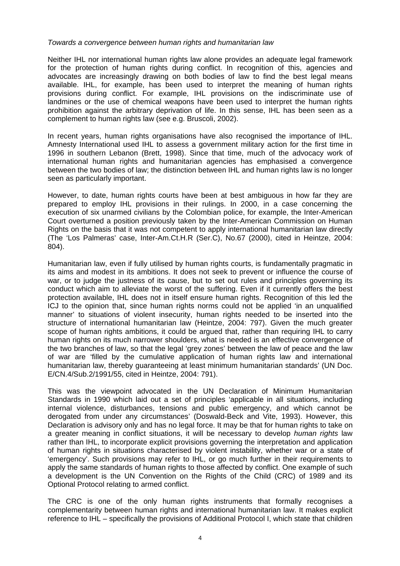#### *Towards a convergence between human rights and humanitarian law*

Neither IHL nor international human rights law alone provides an adequate legal framework for the protection of human rights during conflict. In recognition of this, agencies and advocates are increasingly drawing on both bodies of law to find the best legal means available. IHL, for example, has been used to interpret the meaning of human rights provisions during conflict. For example, IHL provisions on the indiscriminate use of landmines or the use of chemical weapons have been used to interpret the human rights prohibition against the arbitrary deprivation of life. In this sense, IHL has been seen as a complement to human rights law (see e.g. Bruscoli, 2002).

In recent years, human rights organisations have also recognised the importance of IHL. Amnesty International used IHL to assess a government military action for the first time in 1996 in southern Lebanon (Brett, 1998). Since that time, much of the advocacy work of international human rights and humanitarian agencies has emphasised a convergence between the two bodies of law; the distinction between IHL and human rights law is no longer seen as particularly important.

However, to date, human rights courts have been at best ambiguous in how far they are prepared to employ IHL provisions in their rulings. In 2000, in a case concerning the execution of six unarmed civilians by the Colombian police, for example, the Inter-American Court overturned a position previously taken by the Inter-American Commission on Human Rights on the basis that it was not competent to apply international humanitarian law directly (The 'Los Palmeras' case, Inter-Am.Ct.H.R (Ser.C), No.67 (2000), cited in Heintze, 2004: 804).

Humanitarian law, even if fully utilised by human rights courts, is fundamentally pragmatic in its aims and modest in its ambitions. It does not seek to prevent or influence the course of war, or to judge the justness of its cause, but to set out rules and principles governing its conduct which aim to alleviate the worst of the suffering. Even if it currently offers the best protection available, IHL does not in itself ensure human rights. Recognition of this led the ICJ to the opinion that, since human rights norms could not be applied 'in an unqualified manner' to situations of violent insecurity, human rights needed to be inserted into the structure of international humanitarian law (Heintze, 2004: 797). Given the much greater scope of human rights ambitions, it could be argued that, rather than requiring IHL to carry human rights on its much narrower shoulders, what is needed is an effective convergence of the two branches of law, so that the legal 'grey zones' between the law of peace and the law of war are 'filled by the cumulative application of human rights law and international humanitarian law, thereby guaranteeing at least minimum humanitarian standards' (UN Doc. E/CN.4/Sub.2/1991/55, cited in Heintze, 2004: 791).

This was the viewpoint advocated in the UN Declaration of Minimum Humanitarian Standards in 1990 which laid out a set of principles 'applicable in all situations, including internal violence, disturbances, tensions and public emergency, and which cannot be derogated from under any circumstances' (Doswald-Beck and Vite, 1993). However, this Declaration is advisory only and has no legal force. It may be that for human rights to take on a greater meaning in conflict situations, it will be necessary to develop *human rights* law rather than IHL, to incorporate explicit provisions governing the interpretation and application of human rights in situations characterised by violent instability, whether war or a state of 'emergency'. Such provisions may refer to IHL, or go much further in their requirements to apply the same standards of human rights to those affected by conflict. One example of such a development is the UN Convention on the Rights of the Child (CRC) of 1989 and its Optional Protocol relating to armed conflict.

The CRC is one of the only human rights instruments that formally recognises a complementarity between human rights and international humanitarian law. It makes explicit reference to IHL – specifically the provisions of Additional Protocol I, which state that children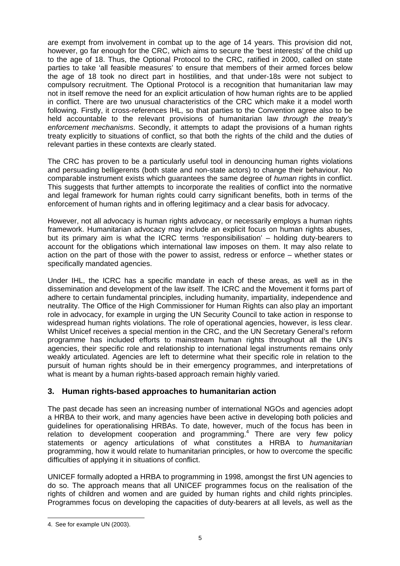are exempt from involvement in combat up to the age of 14 years. This provision did not, however, go far enough for the CRC, which aims to secure the 'best interests' of the child up to the age of 18. Thus, the Optional Protocol to the CRC, ratified in 2000, called on state parties to take 'all feasible measures' to ensure that members of their armed forces below the age of 18 took no direct part in hostilities, and that under-18s were not subject to compulsory recruitment. The Optional Protocol is a recognition that humanitarian law may not in itself remove the need for an explicit articulation of how human rights are to be applied in conflict. There are two unusual characteristics of the CRC which make it a model worth following. Firstly, it cross-references IHL, so that parties to the Convention agree also to be held accountable to the relevant provisions of humanitarian law *through the treaty's enforcement mechanisms*. Secondly, it attempts to adapt the provisions of a human rights treaty explicitly to situations of conflict, so that both the rights of the child and the duties of relevant parties in these contexts are clearly stated.

The CRC has proven to be a particularly useful tool in denouncing human rights violations and persuading belligerents (both state and non-state actors) to change their behaviour. No comparable instrument exists which guarantees the same degree of *human* rights in conflict. This suggests that further attempts to incorporate the realities of conflict into the normative and legal framework for human rights could carry significant benefits, both in terms of the enforcement of human rights and in offering legitimacy and a clear basis for advocacy.

However, not all advocacy is human rights advocacy, or necessarily employs a human rights framework. Humanitarian advocacy may include an explicit focus on human rights abuses, but its primary aim is what the ICRC terms 'responsibilisation' – holding duty-bearers to account for the obligations which international law imposes on them. It may also relate to action on the part of those with the power to assist, redress or enforce – whether states or specifically mandated agencies.

Under IHL, the ICRC has a specific mandate in each of these areas, as well as in the dissemination and development of the law itself. The ICRC and the Movement it forms part of adhere to certain fundamental principles, including humanity, impartiality, independence and neutrality. The Office of the High Commissioner for Human Rights can also play an important role in advocacy, for example in urging the UN Security Council to take action in response to widespread human rights violations. The role of operational agencies, however, is less clear. Whilst Unicef receives a special mention in the CRC, and the UN Secretary General's reform programme has included efforts to mainstream human rights throughout all the UN's agencies, their specific role and relationship to international legal instruments remains only weakly articulated. Agencies are left to determine what their specific role in relation to the pursuit of human rights should be in their emergency programmes, and interpretations of what is meant by a human rights-based approach remain highly varied.

## **3. Human rights-based approaches to humanitarian action**

The past decade has seen an increasing number of international NGOs and agencies adopt a HRBA to their work, and many agencies have been active in developing both policies and guidelines for operationalising HRBAs. To date, however, much of the focus has been in  $relation$  to development cooperation and programming.<sup>4</sup> There are very few policy statements or agency articulations of what constitutes a HRBA to *humanitarian* programming, how it would relate to humanitarian principles, or how to overcome the specific difficulties of applying it in situations of conflict.

UNICEF formally adopted a HRBA to programming in 1998, amongst the first UN agencies to do so. The approach means that all UNICEF programmes focus on the realisation of the rights of children and women and are guided by human rights and child rights principles. Programmes focus on developing the capacities of duty-bearers at all levels, as well as the

l

<sup>4.</sup> See for example UN (2003).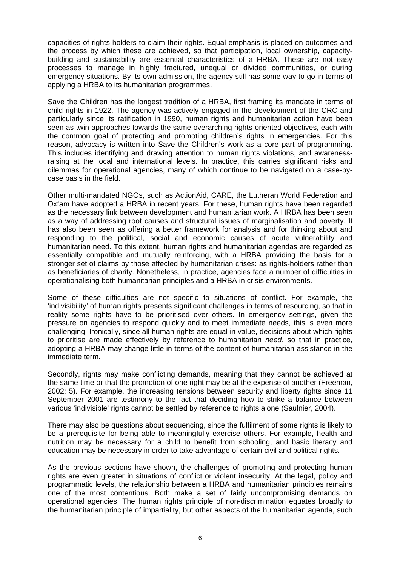capacities of rights-holders to claim their rights. Equal emphasis is placed on outcomes and the process by which these are achieved, so that participation, local ownership, capacitybuilding and sustainability are essential characteristics of a HRBA. These are not easy processes to manage in highly fractured, unequal or divided communities, or during emergency situations. By its own admission, the agency still has some way to go in terms of applying a HRBA to its humanitarian programmes.

Save the Children has the longest tradition of a HRBA, first framing its mandate in terms of child rights in 1922. The agency was actively engaged in the development of the CRC and particularly since its ratification in 1990, human rights and humanitarian action have been seen as twin approaches towards the same overarching rights-oriented objectives, each with the common goal of protecting and promoting children's rights in emergencies. For this reason, advocacy is written into Save the Children's work as a core part of programming. This includes identifying and drawing attention to human rights violations, and awarenessraising at the local and international levels. In practice, this carries significant risks and dilemmas for operational agencies, many of which continue to be navigated on a case-bycase basis in the field.

Other multi-mandated NGOs, such as ActionAid, CARE, the Lutheran World Federation and Oxfam have adopted a HRBA in recent years. For these, human rights have been regarded as the necessary link between development and humanitarian work. A HRBA has been seen as a way of addressing root causes and structural issues of marginalisation and poverty. It has also been seen as offering a better framework for analysis and for thinking about and responding to the political, social and economic causes of acute vulnerability and humanitarian need. To this extent, human rights and humanitarian agendas are regarded as essentially compatible and mutually reinforcing, with a HRBA providing the basis for a stronger set of claims by those affected by humanitarian crises: as rights-holders rather than as beneficiaries of charity. Nonetheless, in practice, agencies face a number of difficulties in operationalising both humanitarian principles and a HRBA in crisis environments.

Some of these difficulties are not specific to situations of conflict. For example, the 'indivisibility' of human rights presents significant challenges in terms of resourcing, so that in reality some rights have to be prioritised over others. In emergency settings, given the pressure on agencies to respond quickly and to meet immediate needs, this is even more challenging. Ironically, since all human rights are equal in value, decisions about which rights to prioritise are made effectively by reference to humanitarian *need*, so that in practice, adopting a HRBA may change little in terms of the content of humanitarian assistance in the immediate term.

Secondly, rights may make conflicting demands, meaning that they cannot be achieved at the same time or that the promotion of one right may be at the expense of another (Freeman, 2002: 5). For example, the increasing tensions between security and liberty rights since 11 September 2001 are testimony to the fact that deciding how to strike a balance between various 'indivisible' rights cannot be settled by reference to rights alone (Saulnier, 2004).

There may also be questions about sequencing, since the fulfilment of some rights is likely to be a prerequisite for being able to meaningfully exercise others. For example, health and nutrition may be necessary for a child to benefit from schooling, and basic literacy and education may be necessary in order to take advantage of certain civil and political rights.

As the previous sections have shown, the challenges of promoting and protecting human rights are even greater in situations of conflict or violent insecurity. At the legal, policy and programmatic levels, the relationship between a HRBA and humanitarian principles remains one of the most contentious. Both make a set of fairly uncompromising demands on operational agencies. The human rights principle of non-discrimination equates broadly to the humanitarian principle of impartiality, but other aspects of the humanitarian agenda, such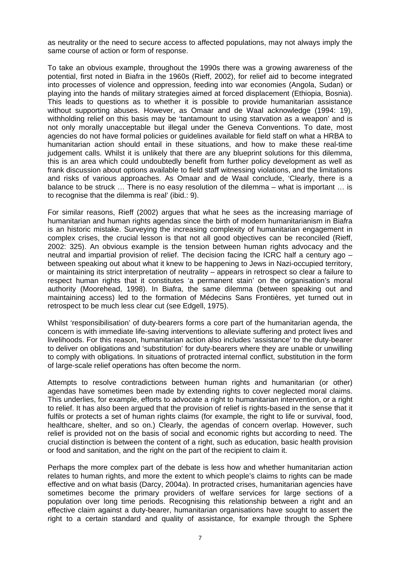as neutrality or the need to secure access to affected populations, may not always imply the same course of action or form of response.

To take an obvious example, throughout the 1990s there was a growing awareness of the potential, first noted in Biafra in the 1960s (Rieff, 2002), for relief aid to become integrated into processes of violence and oppression, feeding into war economies (Angola, Sudan) or playing into the hands of military strategies aimed at forced displacement (Ethiopia, Bosnia). This leads to questions as to whether it is possible to provide humanitarian assistance without supporting abuses. However, as Omaar and de Waal acknowledge (1994: 19), withholding relief on this basis may be 'tantamount to using starvation as a weapon' and is not only morally unacceptable but illegal under the Geneva Conventions. To date, most agencies do not have formal policies or guidelines available for field staff on what a HRBA to humanitarian action should entail in these situations, and how to make these real-time judgement calls. Whilst it is unlikely that there are any blueprint solutions for this dilemma, this is an area which could undoubtedly benefit from further policy development as well as frank discussion about options available to field staff witnessing violations, and the limitations and risks of various approaches. As Omaar and de Waal conclude, 'Clearly, there is a balance to be struck … There is no easy resolution of the dilemma – what is important … is to recognise that the dilemma is real' (ibid.: 9).

For similar reasons, Rieff (2002) argues that what he sees as the increasing marriage of humanitarian and human rights agendas since the birth of modern humanitarianism in Biafra is an historic mistake. Surveying the increasing complexity of humanitarian engagement in complex crises, the crucial lesson is that not all good objectives can be reconciled (Rieff, 2002: 325). An obvious example is the tension between human rights advocacy and the neutral and impartial provision of relief. The decision facing the ICRC half a century ago – between speaking out about what it knew to be happening to Jews in Nazi-occupied territory, or maintaining its strict interpretation of neutrality – appears in retrospect so clear a failure to respect human rights that it constitutes 'a permanent stain' on the organisation's moral authority (Moorehead, 1998). In Biafra, the same dilemma (between speaking out and maintaining access) led to the formation of Médecins Sans Frontières, yet turned out in retrospect to be much less clear cut (see Edgell, 1975).

Whilst 'responsibilisation' of duty-bearers forms a core part of the humanitarian agenda, the concern is with immediate life-saving interventions to alleviate suffering and protect lives and livelihoods. For this reason, humanitarian action also includes 'assistance' to the duty-bearer to deliver on obligations and 'substitution' for duty-bearers where they are unable or unwilling to comply with obligations. In situations of protracted internal conflict, substitution in the form of large-scale relief operations has often become the norm.

Attempts to resolve contradictions between human rights and humanitarian (or other) agendas have sometimes been made by extending rights to cover neglected moral claims. This underlies, for example, efforts to advocate a right to humanitarian intervention, or a right to relief. It has also been argued that the provision of relief is rights-based in the sense that it fulfils or protects a set of human rights claims (for example, the right to life or survival, food, healthcare, shelter, and so on.) Clearly, the agendas of concern overlap. However, such relief is provided not on the basis of social and economic rights but according to need. The crucial distinction is between the content of a right, such as education, basic health provision or food and sanitation, and the right on the part of the recipient to claim it.

Perhaps the more complex part of the debate is less how and whether humanitarian action relates to human rights, and more the extent to which people's claims to rights can be made effective and on what basis (Darcy, 2004a). In protracted crises, humanitarian agencies have sometimes become the primary providers of welfare services for large sections of a population over long time periods. Recognising this relationship between a right and an effective claim against a duty-bearer, humanitarian organisations have sought to assert the right to a certain standard and quality of assistance, for example through the Sphere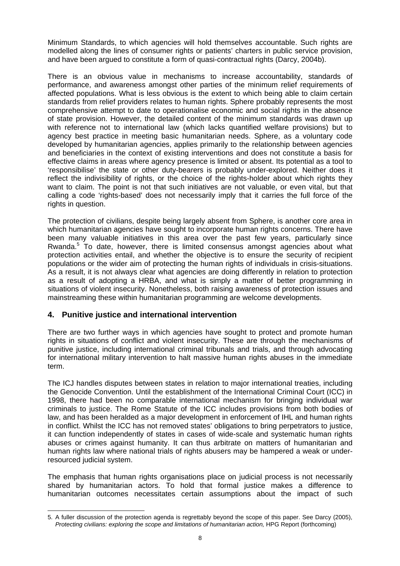Minimum Standards, to which agencies will hold themselves accountable. Such rights are modelled along the lines of consumer rights or patients' charters in public service provision, and have been argued to constitute a form of quasi-contractual rights (Darcy, 2004b).

There is an obvious value in mechanisms to increase accountability, standards of performance, and awareness amongst other parties of the minimum relief requirements of affected populations. What is less obvious is the extent to which being able to claim certain standards from relief providers relates to human rights. Sphere probably represents the most comprehensive attempt to date to operationalise economic and social rights in the absence of state provision. However, the detailed content of the minimum standards was drawn up with reference not to international law (which lacks quantified welfare provisions) but to agency best practice in meeting basic humanitarian needs. Sphere, as a voluntary code developed by humanitarian agencies, applies primarily to the relationship between agencies and beneficiaries in the context of existing interventions and does not constitute a basis for effective claims in areas where agency presence is limited or absent. Its potential as a tool to 'responsibilise' the state or other duty-bearers is probably under-explored. Neither does it reflect the indivisibility of rights, or the choice of the rights-holder about which rights they want to claim. The point is not that such initiatives are not valuable, or even vital, but that calling a code 'rights-based' does not necessarily imply that it carries the full force of the rights in question.

The protection of civilians, despite being largely absent from Sphere, is another core area in which humanitarian agencies have sought to incorporate human rights concerns. There have been many valuable initiatives in this area over the past few years, particularly since Rwanda.<sup>5</sup> To date, however, there is limited consensus amongst agencies about what protection activities entail, and whether the objective is to ensure the security of recipient populations or the wider aim of protecting the human rights of individuals in crisis-situations. As a result, it is not always clear what agencies are doing differently in relation to protection as a result of adopting a HRBA, and what is simply a matter of better programming in situations of violent insecurity. Nonetheless, both raising awareness of protection issues and mainstreaming these within humanitarian programming are welcome developments.

## **4. Punitive justice and international intervention**

There are two further ways in which agencies have sought to protect and promote human rights in situations of conflict and violent insecurity. These are through the mechanisms of punitive justice, including international criminal tribunals and trials, and through advocating for international military intervention to halt massive human rights abuses in the immediate term.

The ICJ handles disputes between states in relation to major international treaties, including the Genocide Convention. Until the establishment of the International Criminal Court (ICC) in 1998, there had been no comparable international mechanism for bringing individual war criminals to justice. The Rome Statute of the ICC includes provisions from both bodies of law, and has been heralded as a major development in enforcement of IHL and human rights in conflict. Whilst the ICC has not removed states' obligations to bring perpetrators to justice, it can function independently of states in cases of wide-scale and systematic human rights abuses or crimes against humanity. It can thus arbitrate on matters of humanitarian and human rights law where national trials of rights abusers may be hampered a weak or underresourced judicial system.

The emphasis that human rights organisations place on judicial process is not necessarily shared by humanitarian actors. To hold that formal justice makes a difference to humanitarian outcomes necessitates certain assumptions about the impact of such

 $\overline{\phantom{a}}$ 5. A fuller discussion of the protection agenda is regrettably beyond the scope of this paper. See Darcy (2005), *Protecting civilians: exploring the scope and limitations of humanitarian action, HPG Report (forthcoming)*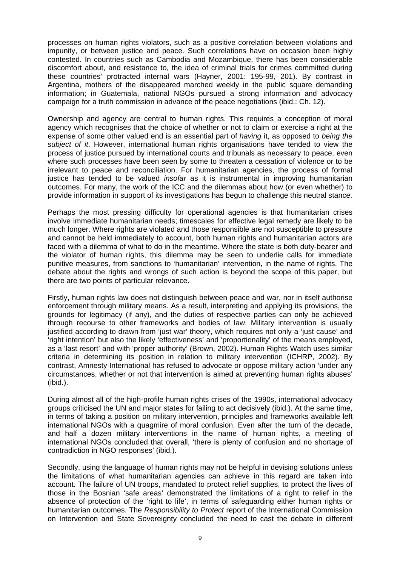processes on human rights violators, such as a positive correlation between violations and impunity, or between justice and peace. Such correlations have on occasion been highly contested. In countries such as Cambodia and Mozambique, there has been considerable discomfort about, and resistance to, the idea of criminal trials for crimes committed during these countries' protracted internal wars (Hayner, 2001: 195-99, 201). By contrast in Argentina, mothers of the disappeared marched weekly in the public square demanding information; in Guatemala, national NGOs pursued a strong information and advocacy campaign for a truth commission in advance of the peace negotiations (ibid.: Ch. 12).

Ownership and agency are central to human rights. This requires a conception of moral agency which recognises that the choice of whether or not to claim or exercise a right at the expense of some other valued end is an essential part of *having* it, as opposed to *being the subject of it*. However, international human rights organisations have tended to view the process of justice pursued by international courts and tribunals as necessary to peace, even where such processes have been seen by some to threaten a cessation of violence or to be irrelevant to peace and reconciliation. For humanitarian agencies, the process of formal justice has tended to be valued *insofar* as it is instrumental in improving humanitarian outcomes. For many, the work of the ICC and the dilemmas about how (or even whether) to provide information in support of its investigations has begun to challenge this neutral stance.

Perhaps the most pressing difficulty for operational agencies is that humanitarian crises involve immediate humanitarian needs; timescales for effective legal remedy are likely to be much longer. Where rights are violated and those responsible are not susceptible to pressure and cannot be held immediately to account, both human rights and humanitarian actors are faced with a dilemma of what to do in the meantime. Where the state is both duty-bearer and the violator of human rights, this dilemma may be seen to underlie calls for immediate punitive measures, from sanctions to 'humanitarian' intervention, in the name of rights. The debate about the rights and wrongs of such action is beyond the scope of this paper, but there are two points of particular relevance.

Firstly, human rights law does not distinguish between peace and war, nor in itself authorise enforcement through military means. As a result, interpreting and applying its provisions, the grounds for legitimacy (if any), and the duties of respective parties can only be achieved through recourse to other frameworks and bodies of law. Military intervention is usually justified according to drawn from 'just war' theory, which requires not only a 'just cause' and 'right intention' but also the likely 'effectiveness' and 'proportionality' of the means employed, as a 'last resort' and with 'proper authority' (Brown, 2002). Human Rights Watch uses similar criteria in determining its position in relation to military intervention (ICHRP, 2002). By contrast, Amnesty International has refused to advocate or oppose military action 'under any circumstances, whether or not that intervention is aimed at preventing human rights abuses' (ibid.).

During almost all of the high-profile human rights crises of the 1990s, international advocacy groups criticised the UN and major states for failing to act decisively (ibid.). At the same time, in terms of taking a position on military intervention, principles and frameworks available left international NGOs with a quagmire of moral confusion. Even after the turn of the decade, and half a dozen military interventions in the name of human rights, a meeting of international NGOs concluded that overall, 'there is plenty of confusion and no shortage of contradiction in NGO responses' (ibid.).

Secondly, using the language of human rights may not be helpful in devising solutions unless the limitations of what humanitarian agencies can achieve in this regard are taken into account. The failure of UN troops, mandated to protect relief supplies, to protect the lives of those in the Bosnian 'safe areas' demonstrated the limitations of a right to relief in the absence of protection of the 'right to life', in terms of safeguarding either human rights or humanitarian outcomes. The *Responsibility to Protect* report of the International Commission on Intervention and State Sovereignty concluded the need to cast the debate in different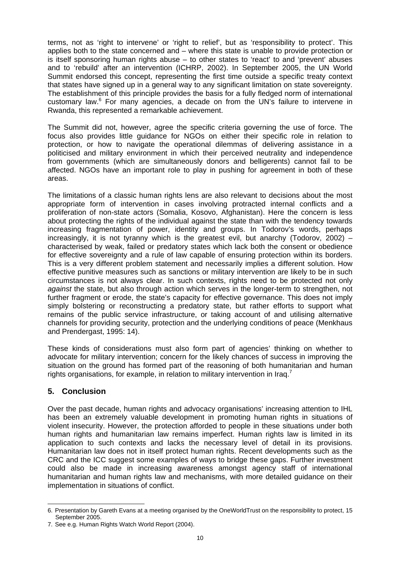terms, not as 'right to intervene' or 'right to relief', but as 'responsibility to protect'. This applies both to the state concerned and – where this state is unable to provide protection or is itself sponsoring human rights abuse – to other states to 'react' to and 'prevent' abuses and to 'rebuild' after an intervention (ICHRP, 2002). In September 2005, the UN World Summit endorsed this concept, representing the first time outside a specific treaty context that states have signed up in a general way to any significant limitation on state sovereignty. The establishment of this principle provides the basis for a fully fledged norm of international customary law. $6$  For many agencies, a decade on from the UN's failure to intervene in Rwanda, this represented a remarkable achievement.

The Summit did not, however, agree the specific criteria governing the use of force. The focus also provides little guidance for NGOs on either their specific role in relation to protection, or how to navigate the operational dilemmas of delivering assistance in a politicised and military environment in which their perceived neutrality and independence from governments (which are simultaneously donors and belligerents) cannot fail to be affected. NGOs have an important role to play in pushing for agreement in both of these areas.

The limitations of a classic human rights lens are also relevant to decisions about the most appropriate form of intervention in cases involving protracted internal conflicts and a proliferation of non-state actors (Somalia, Kosovo, Afghanistan). Here the concern is less about protecting the rights of the individual against the state than with the tendency towards increasing fragmentation of power, identity and groups. In Todorov's words, perhaps increasingly, it is not tyranny which is the greatest evil, but anarchy (Todorov, 2002) – characterised by weak, failed or predatory states which lack both the consent or obedience for effective sovereignty and a rule of law capable of ensuring protection within its borders. This is a very different problem statement and necessarily implies a different solution. How effective punitive measures such as sanctions or military intervention are likely to be in such circumstances is not always clear. In such contexts, rights need to be protected not only *against* the state, but also through action which serves in the longer-term to strengthen, not further fragment or erode, the state's capacity for effective governance. This does not imply simply bolstering or reconstructing a predatory state, but rather efforts to support what remains of the public service infrastructure, or taking account of and utilising alternative channels for providing security, protection and the underlying conditions of peace (Menkhaus and Prendergast, 1995: 14).

These kinds of considerations must also form part of agencies' thinking on whether to advocate for military intervention; concern for the likely chances of success in improving the situation on the ground has formed part of the reasoning of both humanitarian and human rights organisations, for example, in relation to military intervention in Iraq.<sup>7</sup>

## **5. Conclusion**

Over the past decade, human rights and advocacy organisations' increasing attention to IHL has been an extremely valuable development in promoting human rights in situations of violent insecurity. However, the protection afforded to people in these situations under both human rights and humanitarian law remains imperfect. Human rights law is limited in its application to such contexts and lacks the necessary level of detail in its provisions. Humanitarian law does not in itself protect human rights. Recent developments such as the CRC and the ICC suggest some examples of ways to bridge these gaps. Further investment could also be made in increasing awareness amongst agency staff of international humanitarian and human rights law and mechanisms, with more detailed guidance on their implementation in situations of conflict.

 $\overline{a}$ 6. Presentation by Gareth Evans at a meeting organised by the OneWorldTrust on the responsibility to protect, 15 September 2005.

<sup>7.</sup> See e.g. Human Rights Watch World Report (2004).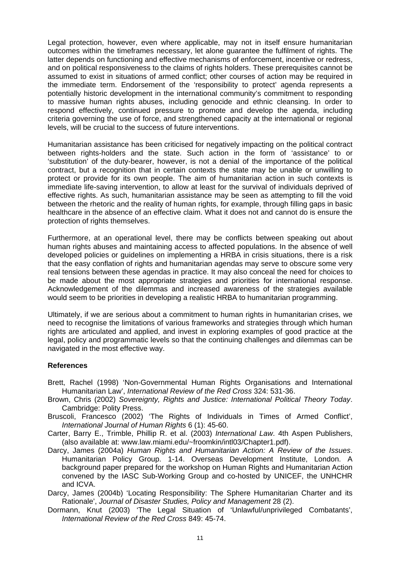Legal protection, however, even where applicable, may not in itself ensure humanitarian outcomes within the timeframes necessary, let alone guarantee the fulfilment of rights. The latter depends on functioning and effective mechanisms of enforcement, incentive or redress, and on political responsiveness to the claims of rights holders. These prerequisites cannot be assumed to exist in situations of armed conflict; other courses of action may be required in the immediate term. Endorsement of the 'responsibility to protect' agenda represents a potentially historic development in the international community's commitment to responding to massive human rights abuses, including genocide and ethnic cleansing. In order to respond effectively, continued pressure to promote and develop the agenda, including criteria governing the use of force, and strengthened capacity at the international or regional levels, will be crucial to the success of future interventions.

Humanitarian assistance has been criticised for negatively impacting on the political contract between rights-holders and the state. Such action in the form of 'assistance' to or 'substitution' of the duty-bearer, however, is not a denial of the importance of the political contract, but a recognition that in certain contexts the state may be unable or unwilling to protect or provide for its own people. The aim of humanitarian action in such contexts is immediate life-saving intervention, to allow at least for the survival of individuals deprived of effective rights. As such, humanitarian assistance may be seen as attempting to fill the void between the rhetoric and the reality of human rights, for example, through filling gaps in basic healthcare in the absence of an effective claim. What it does not and cannot do is ensure the protection of rights themselves.

Furthermore, at an operational level, there may be conflicts between speaking out about human rights abuses and maintaining access to affected populations. In the absence of well developed policies or guidelines on implementing a HRBA in crisis situations, there is a risk that the easy conflation of rights and humanitarian agendas may serve to obscure some very real tensions between these agendas in practice. It may also conceal the need for choices to be made about the most appropriate strategies and priorities for international response. Acknowledgement of the dilemmas and increased awareness of the strategies available would seem to be priorities in developing a realistic HRBA to humanitarian programming.

Ultimately, if we are serious about a commitment to human rights in humanitarian crises, we need to recognise the limitations of various frameworks and strategies through which human rights are articulated and applied, and invest in exploring examples of good practice at the legal, policy and programmatic levels so that the continuing challenges and dilemmas can be navigated in the most effective way.

#### **References**

- Brett, Rachel (1998) 'Non-Governmental Human Rights Organisations and International Humanitarian Law', *International Review of the Red Cross* 324: 531-36.
- Brown, Chris (2002) *Sovereignty, Rights and Justice: International Political Theory Today*. Cambridge: Polity Press.
- Bruscoli, Francesco (2002) 'The Rights of Individuals in Times of Armed Conflict', *International Journal of Human Rights* 6 (1): 45-60.
- Carter, Barry E., Trimble, Phillip R. et al. (2003) *International Law*. 4th Aspen Publishers, (also available at: www.law.miami.edu/~froomkin/intl03/Chapter1.pdf).
- Darcy, James (2004a) *Human Rights and Humanitarian Action: A Review of the Issues*. Humanitarian Policy Group. 1-14. Overseas Development Institute, London. A background paper prepared for the workshop on Human Rights and Humanitarian Action convened by the IASC Sub-Working Group and co-hosted by UNICEF, the UNHCHR and ICVA.
- Darcy, James (2004b) 'Locating Responsibility: The Sphere Humanitarian Charter and its Rationale', *Journal of Disaster Studies, Policy and Management* 28 (2).
- Dormann, Knut (2003) 'The Legal Situation of 'Unlawful/unprivileged Combatants', *International Review of the Red Cross* 849: 45-74.